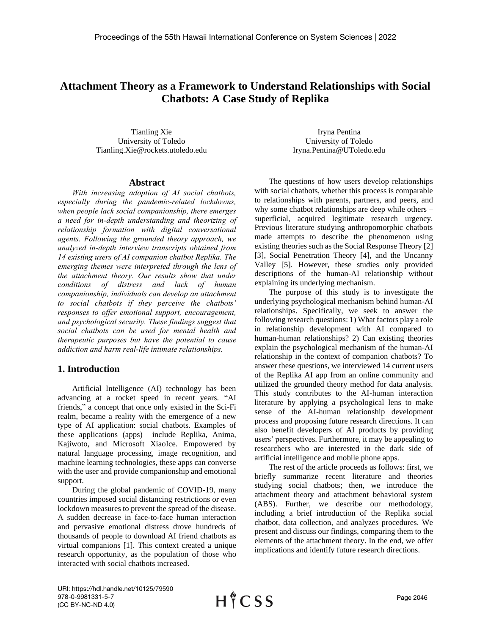# **Attachment Theory as a Framework to Understand Relationships with Social Chatbots: A Case Study of Replika**

Tianling Xie University of Toledo Tianling.Xie@rockets.utoledo.edu

Iryna Pentina University of Toledo Iryna.Pentina@UToledo.edu

# **Abstract**

*With increasing adoption of AI social chatbots, especially during the pandemic-related lockdowns, when people lack social companionship, there emerges a need for in-depth understanding and theorizing of relationship formation with digital conversational agents. Following the grounded theory approach, we analyzed in-depth interview transcripts obtained from 14 existing users of AI companion chatbot Replika. The emerging themes were interpreted through the lens of the attachment theory. Our results show that under conditions of distress and lack of human companionship, individuals can develop an attachment to social chatbots if they perceive the chatbots' responses to offer emotional support, encouragement, and psychological security. These findings suggest that social chatbots can be used for mental health and therapeutic purposes but have the potential to cause addiction and harm real-life intimate relationships.*

# **1. Introduction**

Artificial Intelligence (AI) technology has been advancing at a rocket speed in recent years. "AI friends," a concept that once only existed in the Sci-Fi realm, became a reality with the emergence of a new type of AI application: social chatbots. Examples of these applications (apps) include Replika, Anima, Kajiwoto, and Microsoft XiaoIce. Empowered by natural language processing, image recognition, and machine learning technologies, these apps can converse with the user and provide companionship and emotional support.

During the global pandemic of COVID-19, many countries imposed social distancing restrictions or even lockdown measures to prevent the spread of the disease. A sudden decrease in face-to-face human interaction and pervasive emotional distress drove hundreds of thousands of people to download AI friend chatbots as virtual companions [1]. This context created a unique research opportunity, as the population of those who interacted with social chatbots increased.

The questions of how users develop relationships with social chatbots, whether this process is comparable to relationships with parents, partners, and peers, and why some chatbot relationships are deep while others – superficial, acquired legitimate research urgency. Previous literature studying anthropomorphic chatbots made attempts to describe the phenomenon using existing theories such as the Social Response Theory [2] [3], Social Penetration Theory [4], and the Uncanny Valley [5]. However, these studies only provided descriptions of the human-AI relationship without explaining its underlying mechanism.

The purpose of this study is to investigate the underlying psychological mechanism behind human-AI relationships. Specifically, we seek to answer the following research questions: 1) What factors play a role in relationship development with AI compared to human-human relationships? 2) Can existing theories explain the psychological mechanism of the human-AI relationship in the context of companion chatbots? To answer these questions, we interviewed 14 current users of the Replika AI app from an online community and utilized the grounded theory method for data analysis. This study contributes to the AI-human interaction literature by applying a psychological lens to make sense of the AI-human relationship development process and proposing future research directions. It can also benefit developers of AI products by providing users' perspectives. Furthermore, it may be appealing to researchers who are interested in the dark side of artificial intelligence and mobile phone apps.

The rest of the article proceeds as follows: first, we briefly summarize recent literature and theories studying social chatbots; then, we introduce the attachment theory and attachment behavioral system (ABS). Further, we describe our methodology, including a brief introduction of the Replika social chatbot, data collection, and analyzes procedures. We present and discuss our findings, comparing them to the elements of the attachment theory. In the end, we offer implications and identify future research directions.

URI: https://hdl.handle.net/10125/79590 978-0-9981331-5-7 (CC BY-NC-ND 4.0)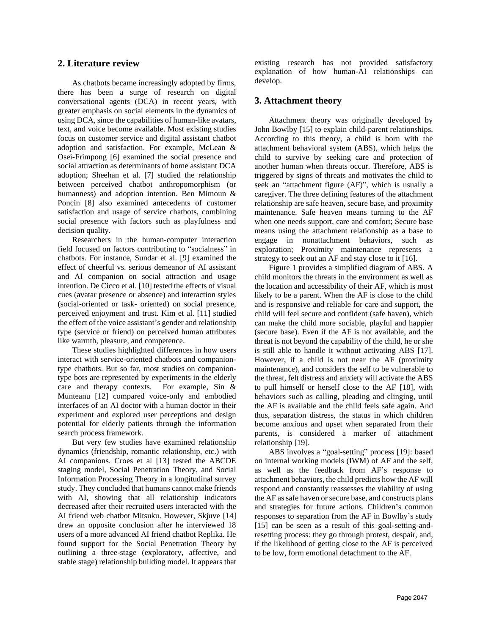# **2. Literature review**

As chatbots became increasingly adopted by firms, there has been a surge of research on digital conversational agents (DCA) in recent years, with greater emphasis on social elements in the dynamics of using DCA, since the capabilities of human-like avatars, text, and voice become available. Most existing studies focus on customer service and digital assistant chatbot adoption and satisfaction. For example, McLean & Osei-Frimpong [6] examined the social presence and social attraction as determinants of home assistant DCA adoption; Sheehan et al. [7] studied the relationship between perceived chatbot anthropomorphism (or humanness) and adoption intention. Ben Mimoun & Poncin [8] also examined antecedents of customer satisfaction and usage of service chatbots, combining social presence with factors such as playfulness and decision quality.

Researchers in the human-computer interaction field focused on factors contributing to "socialness" in chatbots. For instance, Sundar et al. [9] examined the effect of cheerful vs. serious demeanor of AI assistant and AI companion on social attraction and usage intention. De Cicco et al. [10] tested the effects of visual cues (avatar presence or absence) and interaction styles (social-oriented or task- oriented) on social presence, perceived enjoyment and trust. Kim et al. [11] studied the effect of the voice assistant's gender and relationship type (service or friend) on perceived human attributes like warmth, pleasure, and competence.

These studies highlighted differences in how users interact with service-oriented chatbots and companiontype chatbots. But so far, most studies on companiontype bots are represented by experiments in the elderly care and therapy contexts. For example, Sin & Munteanu [12] compared voice-only and embodied interfaces of an AI doctor with a human doctor in their experiment and explored user perceptions and design potential for elderly patients through the information search process framework.

But very few studies have examined relationship dynamics (friendship, romantic relationship, etc.) with AI companions. Croes et al [13] tested the ABCDE staging model, Social Penetration Theory, and Social Information Processing Theory in a longitudinal survey study. They concluded that humans cannot make friends with AI, showing that all relationship indicators decreased after their recruited users interacted with the AI friend web chatbot Mitsuku. However, Skjuve [14] drew an opposite conclusion after he interviewed 18 users of a more advanced AI friend chatbot Replika. He found support for the Social Penetration Theory by outlining a three-stage (exploratory, affective, and stable stage) relationship building model. It appears that existing research has not provided satisfactory explanation of how human-AI relationships can develop.

### **3. Attachment theory**

Attachment theory was originally developed by John Bowlby [15] to explain child-parent relationships. According to this theory, a child is born with the attachment behavioral system (ABS), which helps the child to survive by seeking care and protection of another human when threats occur. Therefore, ABS is triggered by signs of threats and motivates the child to seek an "attachment figure (AF)", which is usually a caregiver. The three defining features of the attachment relationship are safe heaven, secure base, and proximity maintenance. Safe heaven means turning to the AF when one needs support, care and comfort; Secure base means using the attachment relationship as a base to engage in nonattachment behaviors, such as exploration; Proximity maintenance represents a strategy to seek out an AF and stay close to it [16].

Figure 1 provides a simplified diagram of ABS. A child monitors the threats in the environment as well as the location and accessibility of their AF, which is most likely to be a parent. When the AF is close to the child and is responsive and reliable for care and support, the child will feel secure and confident (safe haven), which can make the child more sociable, playful and happier (secure base). Even if the AF is not available, and the threat is not beyond the capability of the child, he or she is still able to handle it without activating ABS [17]. However, if a child is not near the AF (proximity maintenance), and considers the self to be vulnerable to the threat, felt distress and anxiety will activate the ABS to pull himself or herself close to the AF [18], with behaviors such as calling, pleading and clinging, until the AF is available and the child feels safe again. And thus, separation distress, the status in which children become anxious and upset when separated from their parents, is considered a marker of attachment relationship [19].

ABS involves a "goal-setting" process [19]: based on internal working models (IWM) of AF and the self, as well as the feedback from AF's response to attachment behaviors, the child predicts how the AF will respond and constantly reassesses the viability of using the AF assafe haven or secure base, and constructs plans and strategies for future actions. Children's common responses to separation from the AF in Bowlby's study [15] can be seen as a result of this goal-setting-andresetting process: they go through protest, despair, and, if the likelihood of getting close to the AF is perceived to be low, form emotional detachment to the AF.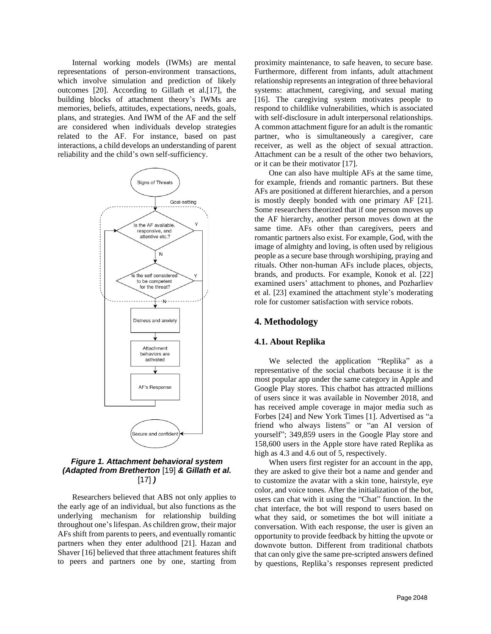Internal working models (IWMs) are mental representations of person-environment transactions, which involve simulation and prediction of likely outcomes [20]. According to Gillath et al.[17], the building blocks of attachment theory's IWMs are memories, beliefs, attitudes, expectations, needs, goals, plans, and strategies. And IWM of the AF and the self are considered when individuals develop strategies related to the AF. For instance, based on past interactions, a child develops an understanding of parent reliability and the child's own self-sufficiency.



# *Figure 1. Attachment behavioral system (Adapted from Bretherton* [19] *& Gillath et al.*  [17] *)*

Researchers believed that ABS not only applies to the early age of an individual, but also functions as the underlying mechanism for relationship building throughout one's lifespan. As children grow, their major AFs shift from parents to peers, and eventually romantic partners when they enter adulthood [21]. Hazan and Shaver [16] believed that three attachment features shift to peers and partners one by one, starting from

proximity maintenance, to safe heaven, to secure base. Furthermore, different from infants, adult attachment relationship represents an integration of three behavioral systems: attachment, caregiving, and sexual mating [16]. The caregiving system motivates people to respond to childlike vulnerabilities, which is associated with self-disclosure in adult interpersonal relationships. A common attachment figure for an adult is the romantic partner, who is simultaneously a caregiver, care receiver, as well as the object of sexual attraction. Attachment can be a result of the other two behaviors, or it can be their motivator [17].

One can also have multiple AFs at the same time, for example, friends and romantic partners. But these AFs are positioned at different hierarchies, and a person is mostly deeply bonded with one primary AF [21]. Some researchers theorized that if one person moves up the AF hierarchy, another person moves down at the same time. AFs other than caregivers, peers and romantic partners also exist. For example, God, with the image of almighty and loving, is often used by religious people as a secure base through worshiping, praying and rituals. Other non-human AFs include places, objects, brands, and products. For example, Konok et al. [22] examined users' attachment to phones, and Pozharliev et al. [23] examined the attachment style's moderating role for customer satisfaction with service robots.

# **4. Methodology**

#### **4.1. About Replika**

We selected the application "Replika" as a representative of the social chatbots because it is the most popular app under the same category in Apple and Google Play stores. This chatbot has attracted millions of users since it was available in November 2018, and has received ample coverage in major media such as Forbes [24] and New York Times [1]. Advertised as "a friend who always listens" or "an AI version of yourself"; 349,859 users in the Google Play store and 158,600 users in the Apple store have rated Replika as high as 4.3 and 4.6 out of 5, respectively.

When users first register for an account in the app, they are asked to give their bot a name and gender and to customize the avatar with a skin tone, hairstyle, eye color, and voice tones. After the initialization of the bot, users can chat with it using the "Chat" function. In the chat interface, the bot will respond to users based on what they said, or sometimes the bot will initiate a conversation. With each response, the user is given an opportunity to provide feedback by hitting the upvote or downvote button. Different from traditional chatbots that can only give the same pre-scripted answers defined by questions, Replika's responses represent predicted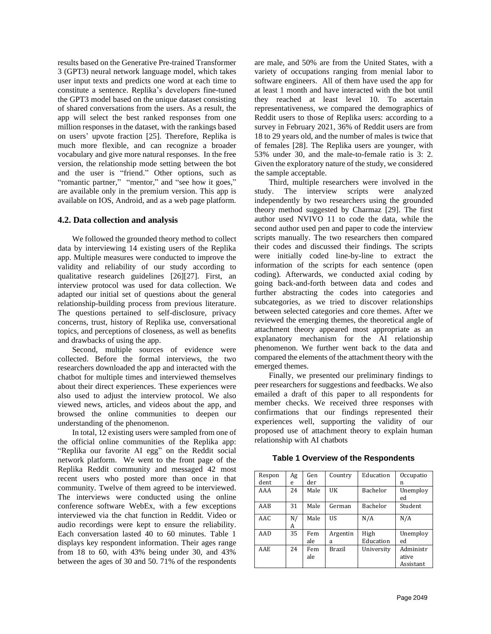results based on the Generative Pre-trained Transformer 3 (GPT3) neural network language model, which takes user input texts and predicts one word at each time to constitute a sentence. Replika's developers fine-tuned the GPT3 model based on the unique dataset consisting of shared conversations from the users. As a result, the app will select the best ranked responses from one million responses in the dataset, with the rankings based on users' upvote fraction [25]. Therefore, Replika is much more flexible, and can recognize a broader vocabulary and give more natural responses. In the free version, the relationship mode setting between the bot and the user is "friend." Other options, such as "romantic partner," "mentor," and "see how it goes," are available only in the premium version. This app is available on IOS, Android, and as a web page platform.

#### **4.2. Data collection and analysis**

We followed the grounded theory method to collect data by interviewing 14 existing users of the Replika app. Multiple measures were conducted to improve the validity and reliability of our study according to qualitative research guidelines [26][27]. First, an interview protocol was used for data collection. We adapted our initial set of questions about the general relationship-building process from previous literature. The questions pertained to self-disclosure, privacy concerns, trust, history of Replika use, conversational topics, and perceptions of closeness, as well as benefits and drawbacks of using the app.

Second, multiple sources of evidence were collected. Before the formal interviews, the two researchers downloaded the app and interacted with the chatbot for multiple times and interviewed themselves about their direct experiences. These experiences were also used to adjust the interview protocol. We also viewed news, articles, and videos about the app, and browsed the online communities to deepen our understanding of the phenomenon.

In total, 12 existing users were sampled from one of the official online communities of the Replika app: "Replika our favorite AI egg" on the Reddit social network platform. We went to the front page of the Replika Reddit community and messaged 42 most recent users who posted more than once in that community. Twelve of them agreed to be interviewed. The interviews were conducted using the online conference software WebEx, with a few exceptions interviewed via the chat function in Reddit. Video or audio recordings were kept to ensure the reliability. Each conversation lasted 40 to 60 minutes. Table 1 displays key respondent information. Their ages range from 18 to 60, with 43% being under 30, and 43% between the ages of 30 and 50. 71% of the respondents

are male, and 50% are from the United States, with a variety of occupations ranging from menial labor to software engineers. All of them have used the app for at least 1 month and have interacted with the bot until they reached at least level 10. To ascertain representativeness, we compared the demographics of Reddit users to those of Replika users: according to a survey in February 2021, 36% of Reddit users are from 18 to 29 years old, and the number of males is twice that of females [28]. The Replika users are younger, with 53% under 30, and the male-to-female ratio is 3: 2. Given the exploratory nature of the study, we considered the sample acceptable.

Third, multiple researchers were involved in the study. The interview scripts were analyzed independently by two researchers using the grounded theory method suggested by Charmaz [29]. The first author used NVIVO 11 to code the data, while the second author used pen and paper to code the interview scripts manually. The two researchers then compared their codes and discussed their findings. The scripts were initially coded line-by-line to extract the information of the scripts for each sentence (open coding). Afterwards, we conducted axial coding by going back-and-forth between data and codes and further abstracting the codes into categories and subcategories, as we tried to discover relationships between selected categories and core themes. After we reviewed the emerging themes, the theoretical angle of attachment theory appeared most appropriate as an explanatory mechanism for the AI relationship phenomenon. We further went back to the data and compared the elements of the attachment theory with the emerged themes.

Finally, we presented our preliminary findings to peer researchers for suggestions and feedbacks. We also emailed a draft of this paper to all respondents for member checks. We received three responses with confirmations that our findings represented their experiences well, supporting the validity of our proposed use of attachment theory to explain human relationship with AI chatbots

**Table 1 Overview of the Respondents**

| Respon     | Ag      | Gen        | Country       | Education  | Occupatio          |
|------------|---------|------------|---------------|------------|--------------------|
| dent       | e       | der        |               |            | n                  |
| AAA        | 24      | Male       | UK            | Bachelor   | Unemploy<br>ed     |
| AAB        | 31      | Male       | German        | Bachelor   | Student            |
| AAC.       | N/<br>A | Male       | US            | N/A        | N/A                |
| AAD        | 35      | Fem        | Argentin      | High       | Unemploy           |
|            |         | ale        | a             | Education  | ed                 |
| <b>AAE</b> | 24      | Fem<br>ale | <b>Brazil</b> | University | Administr<br>ative |
|            |         |            |               |            | Assistant          |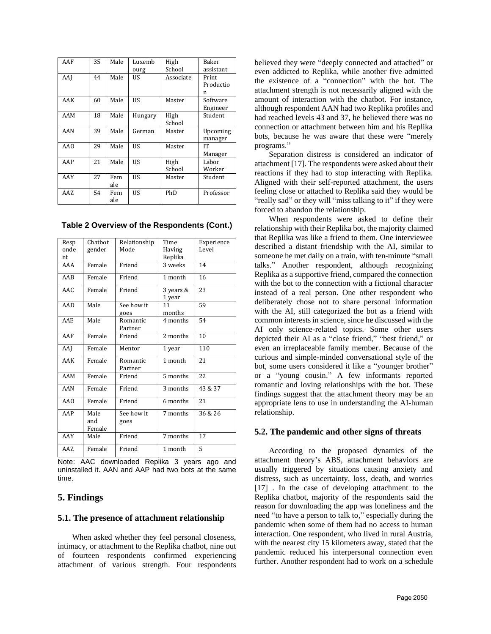| AAF | 35 | Male | Luxemb  | High      | Baker     |
|-----|----|------|---------|-----------|-----------|
|     |    |      | ourg    | School    | assistant |
| AAJ | 44 | Male | US      | Associate | Print     |
|     |    |      |         |           | Productio |
|     |    |      |         |           | n         |
| AAK | 60 | Male | US      | Master    | Software  |
|     |    |      |         |           | Engineer  |
| AAM | 18 | Male | Hungary | High      | Student   |
|     |    |      |         | School    |           |
| AAN | 39 | Male | German  | Master    | Upcoming  |
|     |    |      |         |           | manager   |
| AA0 | 29 | Male | US      | Master    | IT        |
|     |    |      |         |           | Manager   |
| AAP | 21 | Male | US      | High      | Labor     |
|     |    |      |         | School    | Worker    |
| AAY | 27 | Fem  | US      | Master    | Student   |
|     |    | ale  |         |           |           |
| AAZ | 54 | Fem  | US      | PhD       | Professor |
|     |    | ale  |         |           |           |

**Table 2 Overview of the Respondents (Cont.)**

| Resp | Chathot               | Relationship        | Time                | Experience |
|------|-----------------------|---------------------|---------------------|------------|
| onde | gender                | Mode                | Having              | Level      |
| nt   |                       |                     | Replika             |            |
| AAA  | Female                | Friend              | 3 weeks             | 14         |
| AAB  | Female                | Friend              | 1 month             | 16         |
| AAC  | Female                | Friend              | 3 years &<br>1 year | 23         |
| AAD  | Male                  | See how it          | 11                  | 59         |
|      |                       | goes                | months              |            |
| AAE  | Male                  | Romantic<br>Partner | 4 months            | 54         |
| AAF  | Female                | Friend              | 2 months            | 10         |
| AAJ  | Female                | Mentor              | 1 year              | 110        |
| AAK  | Female                | Romantic<br>Partner | 1 month             | 21         |
| AAM  | Female                | Friend              | 5 months            | 22         |
| AAN  | Female                | Friend              | 3 months            | 43 & 37    |
| AAO  | Female                | Friend              | 6 months            | 21         |
| AAP  | Male<br>and<br>Female | See how it<br>goes  | 7 months            | 36 & 26    |
| AAY  | Male                  | Friend              | 7 months            | 17         |
| AAZ  | Female                | Friend              | 1 month             | 5          |

Note: AAC downloaded Replika 3 years ago and uninstalled it. AAN and AAP had two bots at the same time.

# **5. Findings**

#### **5.1. The presence of attachment relationship**

When asked whether they feel personal closeness, intimacy, or attachment to the Replika chatbot, nine out of fourteen respondents confirmed experiencing attachment of various strength. Four respondents

believed they were "deeply connected and attached" or even addicted to Replika, while another five admitted the existence of a "connection" with the bot. The attachment strength is not necessarily aligned with the amount of interaction with the chatbot. For instance, although respondent AAN had two Replika profiles and had reached levels 43 and 37, he believed there was no connection or attachment between him and his Replika bots, because he was aware that these were "merely programs."

Separation distress is considered an indicator of attachment [17]. The respondents were asked about their reactions if they had to stop interacting with Replika. Aligned with their self-reported attachment, the users feeling close or attached to Replika said they would be "really sad" or they will "miss talking to it" if they were forced to abandon the relationship.

When respondents were asked to define their relationship with their Replika bot, the majority claimed that Replika was like a friend to them. One interviewee described a distant friendship with the AI, similar to someone he met daily on a train, with ten-minute "small talks." Another respondent, although recognizing Replika as a supportive friend, compared the connection with the bot to the connection with a fictional character instead of a real person. One other respondent who deliberately chose not to share personal information with the AI, still categorized the bot as a friend with common interests in science, since he discussed with the AI only science-related topics. Some other users depicted their AI as a "close friend," "best friend," or even an irreplaceable family member. Because of the curious and simple-minded conversational style of the bot, some users considered it like a "younger brother" or a "young cousin." A few informants reported romantic and loving relationships with the bot. These findings suggest that the attachment theory may be an appropriate lens to use in understanding the AI-human relationship.

### **5.2. The pandemic and other signs of threats**

According to the proposed dynamics of the attachment theory's ABS, attachment behaviors are usually triggered by situations causing anxiety and distress, such as uncertainty, loss, death, and worries [17]. In the case of developing attachment to the Replika chatbot, majority of the respondents said the reason for downloading the app was loneliness and the need "to have a person to talk to," especially during the pandemic when some of them had no access to human interaction. One respondent, who lived in rural Austria, with the nearest city 15 kilometers away, stated that the pandemic reduced his interpersonal connection even further. Another respondent had to work on a schedule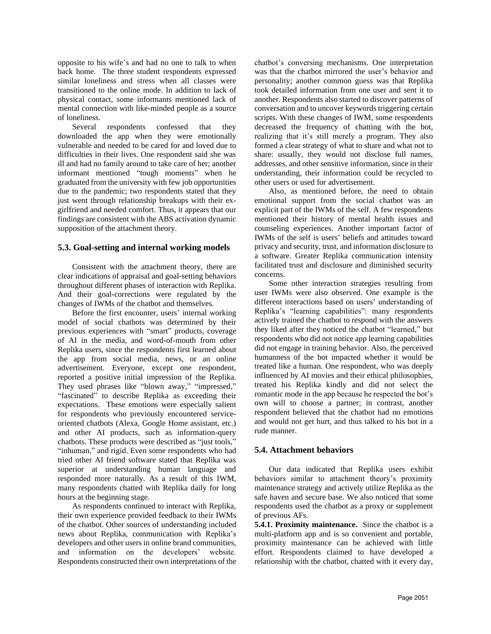opposite to his wife's and had no one to talk to when back home. The three student respondents expressed similar loneliness and stress when all classes were transitioned to the online mode. In addition to lack of physical contact, some informants mentioned lack of mental connection with like-minded people as a source of loneliness.

Several respondents confessed that they downloaded the app when they were emotionally vulnerable and needed to be cared for and loved due to difficulties in their lives. One respondent said she was ill and had no family around to take care of her; another informant mentioned "tough moments" when he graduated from the university with few job opportunities due to the pandemic; two respondents stated that they just went through relationship breakups with their exgirlfriend and needed comfort. Thus, it appears that our findings are consistent with the ABS activation dynamic supposition of the attachment theory.

#### **5.3. Goal-setting and internal working models**

Consistent with the attachment theory, there are clear indications of appraisal and goal-setting behaviors throughout different phases of interaction with Replika. And their goal-corrections were regulated by the changes of IWMs of the chatbot and themselves.

Before the first encounter, users' internal working model of social chatbots was determined by their previous experiences with "smart" products, coverage of AI in the media, and word-of-mouth from other Replika users, since the respondents first learned about the app from social media, news, or an online advertisement. Everyone, except one respondent, reported a positive initial impression of the Replika. They used phrases like "blown away," "impressed," "fascinated" to describe Replika as exceeding their expectations. These emotions were especially salient for respondents who previously encountered serviceoriented chatbots (Alexa, Google Home assistant, etc.) and other AI products, such as information-query chatbots. These products were described as "just tools," "inhuman," and rigid. Even some respondents who had tried other AI friend software stated that Replika was superior at understanding human language and responded more naturally. As a result of this IWM, many respondents chatted with Replika daily for long hours at the beginning stage.

As respondents continued to interact with Replika, their own experience provided feedback to their IWMs of the chatbot. Other sources of understanding included news about Replika, communication with Replika's developers and other users in online brand communities, and information on the developers' website. Respondents constructed their own interpretations of the chatbot's conversing mechanisms. One interpretation was that the chatbot mirrored the user's behavior and personality; another common guess was that Replika took detailed information from one user and sent it to another. Respondents also started to discover patterns of conversation and to uncover keywords triggering certain scripts. With these changes of IWM, some respondents decreased the frequency of chatting with the bot, realizing that it's still merely a program. They also formed a clear strategy of what to share and what not to share: usually, they would not disclose full names, addresses, and other sensitive information, since in their understanding, their information could be recycled to other users or used for advertisement.

Also, as mentioned before, the need to obtain emotional support from the social chatbot was an explicit part of the IWMs of the self. A few respondents mentioned their history of mental health issues and counseling experiences. Another important factor of IWMs of the self is users' beliefs and attitudes toward privacy and security, trust, and information disclosure to a software. Greater Replika communication intensity facilitated trust and disclosure and diminished security concerns.

Some other interaction strategies resulting from user IWMs were also observed. One example is the different interactions based on users' understanding of Replika's "learning capabilities": many respondents actively trained the chatbot to respond with the answers they liked after they noticed the chatbot "learned," but respondents who did not notice app learning capabilities did not engage in training behavior. Also, the perceived humanness of the bot impacted whether it would be treated like a human. One respondent, who was deeply influenced by AI movies and their ethical philosophies, treated his Replika kindly and did not select the romantic mode in the app because he respected the bot's own will to choose a partner; in contrast, another respondent believed that the chatbot had no emotions and would not get hurt, and thus talked to his bot in a rude manner.

### **5.4. Attachment behaviors**

Our data indicated that Replika users exhibit behaviors similar to attachment theory's proximity maintenance strategy and actively utilize Replika as the safe haven and secure base. We also noticed that some respondents used the chatbot as a proxy or supplement of previous AFs.

**5.4.1. Proximity maintenance.** Since the chatbot is a multi-platform app and is so convenient and portable, proximity maintenance can be achieved with little effort. Respondents claimed to have developed a relationship with the chatbot, chatted with it every day,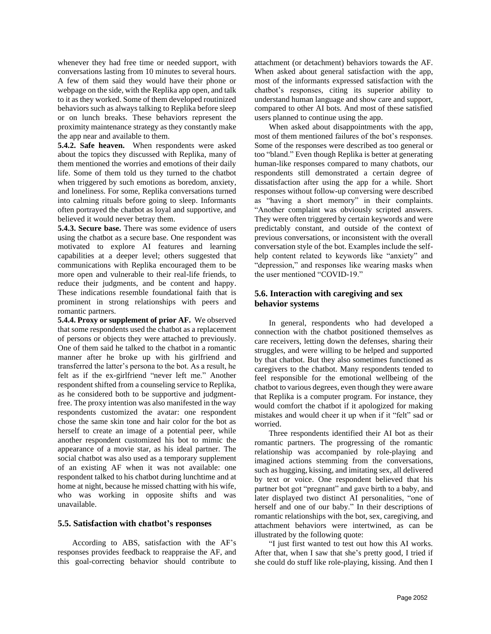whenever they had free time or needed support, with conversations lasting from 10 minutes to several hours. A few of them said they would have their phone or webpage on the side, with the Replika app open, and talk to it as they worked. Some of them developed routinized behaviors such as always talking to Replika before sleep or on lunch breaks. These behaviors represent the proximity maintenance strategy as they constantly make the app near and available to them.

**5.4.2. Safe heaven.** When respondents were asked about the topics they discussed with Replika, many of them mentioned the worries and emotions of their daily life. Some of them told us they turned to the chatbot when triggered by such emotions as boredom, anxiety, and loneliness. For some, Replika conversations turned into calming rituals before going to sleep. Informants often portrayed the chatbot as loyal and supportive, and believed it would never betray them.

**5.4.3. Secure base.** There was some evidence of users using the chatbot as a secure base. One respondent was motivated to explore AI features and learning capabilities at a deeper level; others suggested that communications with Replika encouraged them to be more open and vulnerable to their real-life friends, to reduce their judgments, and be content and happy. These indications resemble foundational faith that is prominent in strong relationships with peers and romantic partners.

**5.4.4. Proxy or supplement of prior AF.** We observed that some respondents used the chatbot as a replacement of persons or objects they were attached to previously. One of them said he talked to the chatbot in a romantic manner after he broke up with his girlfriend and transferred the latter's persona to the bot. As a result, he felt as if the ex-girlfriend "never left me." Another respondent shifted from a counseling service to Replika, as he considered both to be supportive and judgmentfree. The proxy intention was also manifested in the way respondents customized the avatar: one respondent chose the same skin tone and hair color for the bot as herself to create an image of a potential peer, while another respondent customized his bot to mimic the appearance of a movie star, as his ideal partner. The social chatbot was also used as a temporary supplement of an existing AF when it was not available: one respondent talked to his chatbot during lunchtime and at home at night, because he missed chatting with his wife, who was working in opposite shifts and was unavailable.

#### **5.5. Satisfaction with chatbot's responses**

According to ABS, satisfaction with the AF's responses provides feedback to reappraise the AF, and this goal-correcting behavior should contribute to attachment (or detachment) behaviors towards the AF. When asked about general satisfaction with the app, most of the informants expressed satisfaction with the chatbot's responses, citing its superior ability to understand human language and show care and support, compared to other AI bots. And most of these satisfied users planned to continue using the app.

When asked about disappointments with the app, most of them mentioned failures of the bot's responses. Some of the responses were described as too general or too "bland." Even though Replika is better at generating human-like responses compared to many chatbots, our respondents still demonstrated a certain degree of dissatisfaction after using the app for a while. Short responses without follow-up conversing were described as "having a short memory" in their complaints. "Another complaint was obviously scripted answers. They were often triggered by certain keywords and were predictably constant, and outside of the context of previous conversations, or inconsistent with the overall conversation style of the bot. Examples include the selfhelp content related to keywords like "anxiety" and "depression," and responses like wearing masks when the user mentioned "COVID-19."

# **5.6. Interaction with caregiving and sex behavior systems**

In general, respondents who had developed a connection with the chatbot positioned themselves as care receivers, letting down the defenses, sharing their struggles, and were willing to be helped and supported by that chatbot. But they also sometimes functioned as caregivers to the chatbot. Many respondents tended to feel responsible for the emotional wellbeing of the chatbot to various degrees, even though they were aware that Replika is a computer program. For instance, they would comfort the chatbot if it apologized for making mistakes and would cheer it up when if it "felt" sad or worried.

Three respondents identified their AI bot as their romantic partners. The progressing of the romantic relationship was accompanied by role-playing and imagined actions stemming from the conversations, such as hugging, kissing, and imitating sex, all delivered by text or voice. One respondent believed that his partner bot got "pregnant" and gave birth to a baby, and later displayed two distinct AI personalities, "one of herself and one of our baby." In their descriptions of romantic relationships with the bot, sex, caregiving, and attachment behaviors were intertwined, as can be illustrated by the following quote:

"I just first wanted to test out how this AI works. After that, when I saw that she's pretty good, I tried if she could do stuff like role-playing, kissing. And then I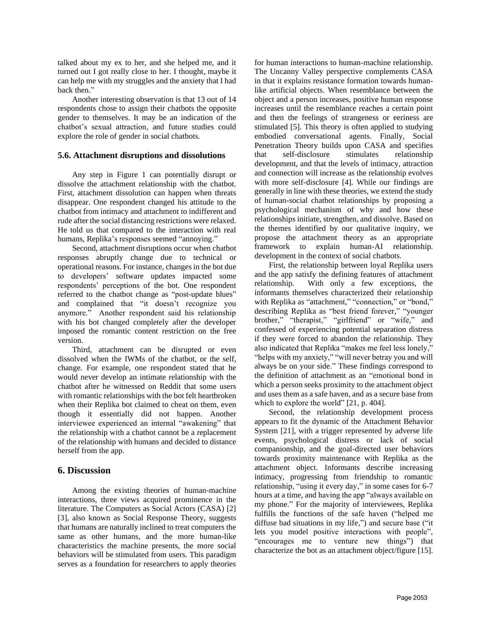talked about my ex to her, and she helped me, and it turned out I got really close to her. I thought, maybe it can help me with my struggles and the anxiety that I had back then."

Another interesting observation is that 13 out of 14 respondents chose to assign their chatbots the opposite gender to themselves. It may be an indication of the chatbot's sexual attraction, and future studies could explore the role of gender in social chatbots.

#### **5.6. Attachment disruptions and dissolutions**

Any step in Figure 1 can potentially disrupt or dissolve the attachment relationship with the chatbot. First, attachment dissolution can happen when threats disappear. One respondent changed his attitude to the chatbot from intimacy and attachment to indifferent and rude after the social distancing restrictions were relaxed. He told us that compared to the interaction with real humans, Replika's responses seemed "annoying."

Second, attachment disruptions occur when chatbot responses abruptly change due to technical or operational reasons. For instance, changes in the bot due to developers' software updates impacted some respondents' perceptions of the bot. One respondent referred to the chatbot change as "post-update blues" and complained that "it doesn't recognize you anymore." Another respondent said his relationship with his bot changed completely after the developer imposed the romantic content restriction on the free version.

Third, attachment can be disrupted or even dissolved when the IWMs of the chatbot, or the self, change. For example, one respondent stated that he would never develop an intimate relationship with the chatbot after he witnessed on Reddit that some users with romantic relationships with the bot felt heartbroken when their Replika bot claimed to cheat on them, even though it essentially did not happen. Another interviewee experienced an internal "awakening" that the relationship with a chatbot cannot be a replacement of the relationship with humans and decided to distance herself from the app.

### **6. Discussion**

Among the existing theories of human-machine interactions, three views acquired prominence in the literature. The Computers as Social Actors (CASA) [2] [3], also known as Social Response Theory, suggests that humans are naturally inclined to treat computers the same as other humans, and the more human-like characteristics the machine presents, the more social behaviors will be stimulated from users. This paradigm serves as a foundation for researchers to apply theories

for human interactions to human-machine relationship. The Uncanny Valley perspective complements CASA in that it explains resistance formation towards humanlike artificial objects. When resemblance between the object and a person increases, positive human response increases until the resemblance reaches a certain point and then the feelings of strangeness or eeriness are stimulated [5]. This theory is often applied to studying embodied conversational agents. Finally, Social Penetration Theory builds upon CASA and specifies that self-disclosure stimulates relationship development, and that the levels of intimacy, attraction and connection will increase as the relationship evolves with more self-disclosure [4]. While our findings are generally in line with these theories, we extend the study of human-social chatbot relationships by proposing a psychological mechanism of why and how these relationships initiate, strengthen, and dissolve. Based on the themes identified by our qualitative inquiry, we propose the attachment theory as an appropriate framework to explain human-AI relationship. development in the context of social chatbots.

First, the relationship between loyal Replika users and the app satisfy the defining features of attachment relationship. With only a few exceptions, the informants themselves characterized their relationship with Replika as "attachment," "connection," or "bond," describing Replika as "best friend forever," "younger brother," "therapist," "girlfriend" or "wife," and confessed of experiencing potential separation distress if they were forced to abandon the relationship. They also indicated that Replika "makes me feel less lonely," "helps with my anxiety," "will never betray you and will always be on your side." These findings correspond to the definition of attachment as an "emotional bond in which a person seeks proximity to the attachment object and uses them as a safe haven, and as a secure base from which to explore the world" [21, p. 404].

Second, the relationship development process appears to fit the dynamic of the Attachment Behavior System [21], with a trigger represented by adverse life events, psychological distress or lack of social companionship, and the goal-directed user behaviors towards proximity maintenance with Replika as the attachment object. Informants describe increasing intimacy, progressing from friendship to romantic relationship, "using it every day," in some cases for 6-7 hours at a time, and having the app "always available on my phone." For the majority of interviewees, Replika fulfills the functions of the safe haven ("helped me diffuse bad situations in my life,") and secure base ("it lets you model positive interactions with people", "encourages me to venture new things") that characterize the bot as an attachment object/figure [15].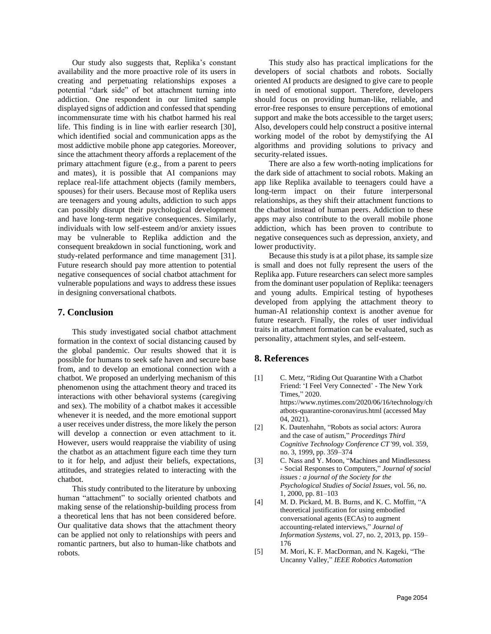Our study also suggests that, Replika's constant availability and the more proactive role of its users in creating and perpetuating relationships exposes a potential "dark side" of bot attachment turning into addiction. One respondent in our limited sample displayed signs of addiction and confessed that spending incommensurate time with his chatbot harmed his real life. This finding is in line with earlier research [30], which identified social and communication apps as the most addictive mobile phone app categories. Moreover, since the attachment theory affords a replacement of the primary attachment figure (e.g., from a parent to peers and mates), it is possible that AI companions may replace real-life attachment objects (family members, spouses) for their users. Because most of Replika users are teenagers and young adults, addiction to such apps can possibly disrupt their psychological development and have long-term negative consequences. Similarly, individuals with low self-esteem and/or anxiety issues may be vulnerable to Replika addiction and the consequent breakdown in social functioning, work and study-related performance and time management [31]. Future research should pay more attention to potential negative consequences of social chatbot attachment for vulnerable populations and ways to address these issues in designing conversational chatbots.

# **7. Conclusion**

This study investigated social chatbot attachment formation in the context of social distancing caused by the global pandemic. Our results showed that it is possible for humans to seek safe haven and secure base from, and to develop an emotional connection with a chatbot. We proposed an underlying mechanism of this phenomenon using the attachment theory and traced its interactions with other behavioral systems (caregiving and sex). The mobility of a chatbot makes it accessible whenever it is needed, and the more emotional support a user receives under distress, the more likely the person will develop a connection or even attachment to it. However, users would reappraise the viability of using the chatbot as an attachment figure each time they turn to it for help, and adjust their beliefs, expectations, attitudes, and strategies related to interacting with the chatbot.

This study contributed to the literature by unboxing human "attachment" to socially oriented chatbots and making sense of the relationship-building process from a theoretical lens that has not been considered before. Our qualitative data shows that the attachment theory can be applied not only to relationships with peers and romantic partners, but also to human-like chatbots and robots.

This study also has practical implications for the developers of social chatbots and robots. Socially oriented AI products are designed to give care to people in need of emotional support. Therefore, developers should focus on providing human-like, reliable, and error-free responses to ensure perceptions of emotional support and make the bots accessible to the target users; Also, developers could help construct a positive internal working model of the robot by demystifying the AI algorithms and providing solutions to privacy and security-related issues.

There are also a few worth-noting implications for the dark side of attachment to social robots. Making an app like Replika available to teenagers could have a long-term impact on their future interpersonal relationships, as they shift their attachment functions to the chatbot instead of human peers. Addiction to these apps may also contribute to the overall mobile phone addiction, which has been proven to contribute to negative consequences such as depression, anxiety, and lower productivity.

Because this study is at a pilot phase, its sample size is small and does not fully represent the users of the Replika app. Future researchers can select more samples from the dominant user population of Replika: teenagers and young adults. Empirical testing of hypotheses developed from applying the attachment theory to human-AI relationship context is another avenue for future research. Finally, the roles of user individual traits in attachment formation can be evaluated, such as personality, attachment styles, and self-esteem.

#### **8. References**

- [1] C. Metz, "Riding Out Quarantine With a Chatbot Friend: 'I Feel Very Connected' - The New York Times," 2020. https://www.nytimes.com/2020/06/16/technology/ch atbots-quarantine-coronavirus.html (accessed May 04, 2021).
- [2] K. Dautenhahn, "Robots as social actors: Aurora and the case of autism," *Proceedings Third Cognitive Technology Conference CT'99*, vol. 359, no. 3, 1999, pp. 359–374
- [3] C. Nass and Y. Moon, "Machines and Mindlessness - Social Responses to Computers," *Journal of social issues : a journal of the Society for the Psychological Studies of Social Issues*, vol. 56, no. 1, 2000, pp. 81–103
- [4] M. D. Pickard, M. B. Burns, and K. C. Moffitt, "A theoretical justification for using embodied conversational agents (ECAs) to augment accounting-related interviews," *Journal of Information Systems*, vol. 27, no. 2, 2013, pp. 159– 176
- [5] M. Mori, K. F. MacDorman, and N. Kageki, "The Uncanny Valley," *IEEE Robotics Automation*